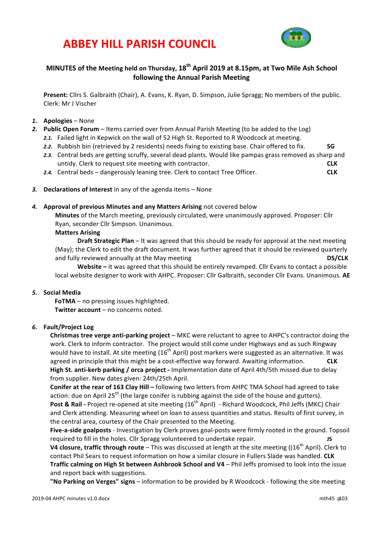## **ABBEY HILL PARISH COUNCIL**



### **MINUTES** of the Meeting held on Thursday, 18<sup>th</sup> April 2019 at 8.15pm, at Two Mile Ash School **following the Annual Parish Meeting**

**Present:** Cllrs S. Galbraith (Chair), A. Evans, K. Ryan, D. Simpson, Julie Spragg; No members of the public. Clerk: Mr J Vischer

#### *1.* **Apologies** – None

- **2.** Public Open Forum Items carried over from Annual Parish Meeting (to be added to the Log)
	- 2.1. Failed light in Kepwick on the wall of 52 High St. Reported to R Woodcock at meeting.
	- 2.2. Rubbish bin (retrieved by 2 residents) needs fixing to existing base. Chair offered to fix. **SG**
	- 2.3. Central beds are getting scruffy, several dead plants. Would like pampas grass removed as sharp and untidy. Clerk to request site meeting with contractor. **CLK**
	- **2.4.** Central beds dangerously leaning tree. Clerk to contact Tree Officer. **CLK**
- 3. **Declarations of Interest** in any of the agenda items None

#### 4. **Approval of previous Minutes and any Matters Arising** not covered below

**Minutes** of the March meeting, previously circulated, were unanimously approved. Proposer: Cllr Ryan, seconder Cllr Simpson. Unanimous.

#### **Matters Arising**

**Draft Strategic Plan** – It was agreed that this should be ready for approval at the next meeting (May); the Clerk to edit the draft document. It was further agreed that it should be reviewed quarterly and fully reviewed annually at the May meeting **DEV CLK DEVILLE** 

**Website** – it was agreed that this should be entirely revamped. Cllr Evans to contact a possible local website designer to work with AHPC. Proposer: Cllr Galbraith, seconder Cllr Evans. Unanimous. AE

#### *5.* **Social Media**

**FoTMA** – no pressing issues highlighted. **Twitter account** – no concerns noted.

#### *6.* **Fault/Project Log**

**Christmas tree verge anti-parking project** – MKC were reluctant to agree to AHPC's contractor doing the work. Clerk to inform contractor. The project would still come under Highways and as such Ringway would have to install. At site meeting (16<sup>th</sup> April) post markers were suggested as an alternative. It was agreed in principle that this might be a cost-effective way forward. Awaiting information. **CLK High St. anti-kerb parking / orca project** - Implementation date of April 4th/5th missed due to delay from supplier. New dates given: 24th/25th April.

**Conifer at the rear of 163 Clay Hill –** following two letters from AHPC TMA School had agreed to take action: due on April  $25<sup>th</sup>$  (the large conifer is rubbing against the side of the house and gutters). **Post & Rail** - Project re-opened at site meeting (16<sup>th</sup> April) - Richard Woodcock, Phil Jeffs (MKC) Chair and Clerk attending. Measuring wheel on loan to assess quantities and status. Results of first survey, in the central area, courtesy of the Chair presented to the Meeting.

Five-a-side goalposts - Investigation by Clerk proves goal-posts were firmly rooted in the ground. Topsoil required to fill in the holes. Cllr Spragg volunteered to undertake repair. **JS** 

**V4 closure, traffic through route** – This was discussed at length at the site meeting ((16<sup>th</sup> April). Clerk to contact Phil Sears to request information on how a similar closure in Fullers Slade was handled. CLK **Traffic calming on High St between Ashbrook School and V4 – Phil Jeffs promised to look into the issue** and report back with suggestions.

**"No Parking on Verges" signs** – information to be provided by R Woodcock - following the site meeting